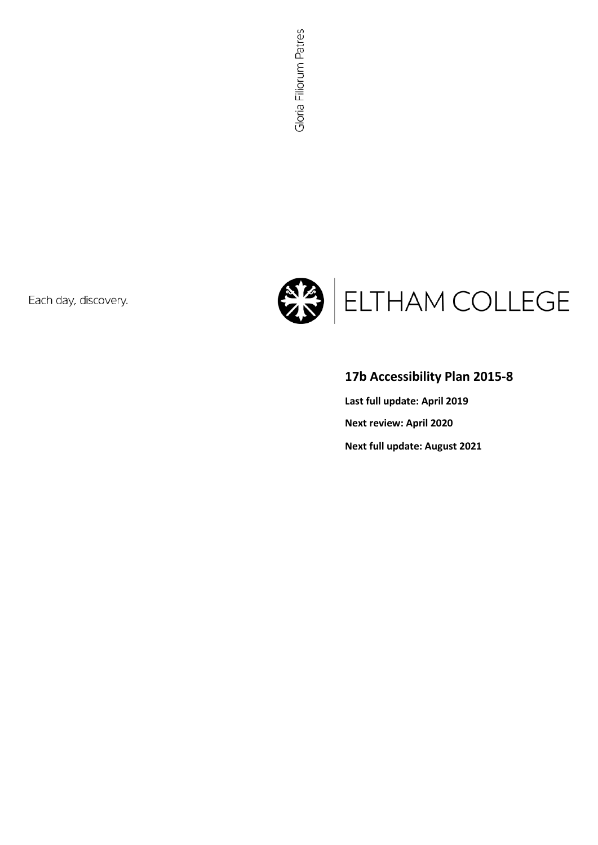Each day, discovery.



# **17b Accessibility Plan 2015-8**

**Last full update: April 2019 Next review: April 2020 Next full update: August 2021**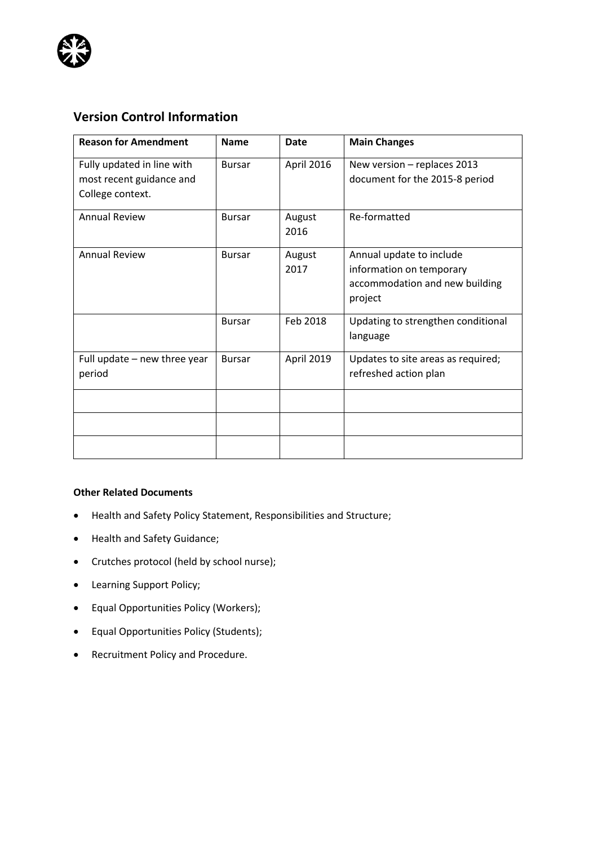

## **Version Control Information**

| <b>Reason for Amendment</b>                                                | <b>Name</b>   | <b>Date</b>    | <b>Main Changes</b>                                                                               |
|----------------------------------------------------------------------------|---------------|----------------|---------------------------------------------------------------------------------------------------|
| Fully updated in line with<br>most recent guidance and<br>College context. | <b>Bursar</b> | April 2016     | New version - replaces 2013<br>document for the 2015-8 period                                     |
| <b>Annual Review</b>                                                       | <b>Bursar</b> | August<br>2016 | Re-formatted                                                                                      |
| <b>Annual Review</b>                                                       | <b>Bursar</b> | August<br>2017 | Annual update to include<br>information on temporary<br>accommodation and new building<br>project |
|                                                                            | <b>Bursar</b> | Feb 2018       | Updating to strengthen conditional<br>language                                                    |
| Full update $-$ new three year<br>period                                   | <b>Bursar</b> | April 2019     | Updates to site areas as required;<br>refreshed action plan                                       |
|                                                                            |               |                |                                                                                                   |
|                                                                            |               |                |                                                                                                   |
|                                                                            |               |                |                                                                                                   |

#### **Other Related Documents**

- Health and Safety Policy Statement, Responsibilities and Structure;
- Health and Safety Guidance;
- Crutches protocol (held by school nurse);
- Learning Support Policy;
- Equal Opportunities Policy (Workers);
- Equal Opportunities Policy (Students);
- Recruitment Policy and Procedure.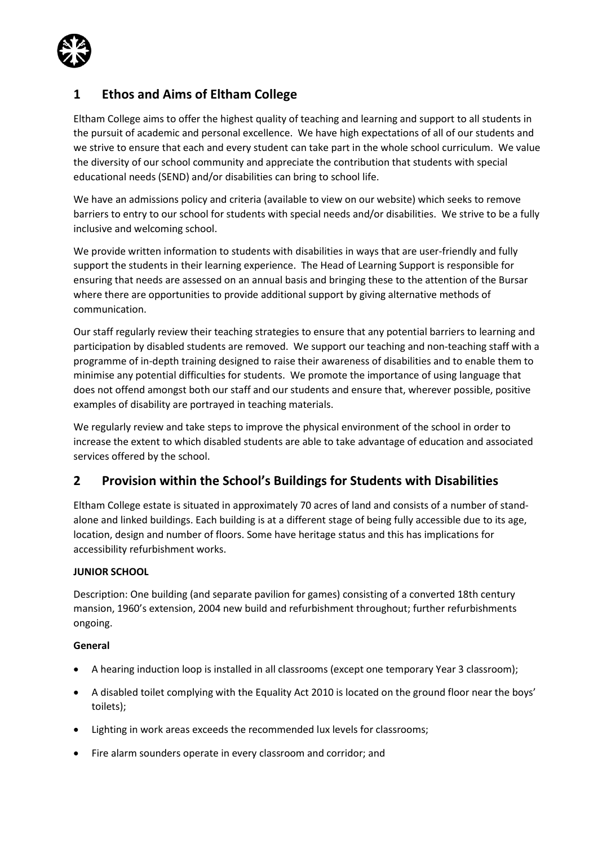

## **1 Ethos and Aims of Eltham College**

Eltham College aims to offer the highest quality of teaching and learning and support to all students in the pursuit of academic and personal excellence. We have high expectations of all of our students and we strive to ensure that each and every student can take part in the whole school curriculum. We value the diversity of our school community and appreciate the contribution that students with special educational needs (SEND) and/or disabilities can bring to school life.

We have an admissions policy and criteria (available to view on our website) which seeks to remove barriers to entry to our school for students with special needs and/or disabilities. We strive to be a fully inclusive and welcoming school.

We provide written information to students with disabilities in ways that are user-friendly and fully support the students in their learning experience. The Head of Learning Support is responsible for ensuring that needs are assessed on an annual basis and bringing these to the attention of the Bursar where there are opportunities to provide additional support by giving alternative methods of communication.

Our staff regularly review their teaching strategies to ensure that any potential barriers to learning and participation by disabled students are removed. We support our teaching and non-teaching staff with a programme of in-depth training designed to raise their awareness of disabilities and to enable them to minimise any potential difficulties for students. We promote the importance of using language that does not offend amongst both our staff and our students and ensure that, wherever possible, positive examples of disability are portrayed in teaching materials.

We regularly review and take steps to improve the physical environment of the school in order to increase the extent to which disabled students are able to take advantage of education and associated services offered by the school.

### **2 Provision within the School's Buildings for Students with Disabilities**

Eltham College estate is situated in approximately 70 acres of land and consists of a number of standalone and linked buildings. Each building is at a different stage of being fully accessible due to its age, location, design and number of floors. Some have heritage status and this has implications for accessibility refurbishment works.

#### **JUNIOR SCHOOL**

Description: One building (and separate pavilion for games) consisting of a converted 18th century mansion, 1960's extension, 2004 new build and refurbishment throughout; further refurbishments ongoing.

#### **General**

- A hearing induction loop is installed in all classrooms (except one temporary Year 3 classroom);
- A disabled toilet complying with the Equality Act 2010 is located on the ground floor near the boys' toilets);
- Lighting in work areas exceeds the recommended lux levels for classrooms;
- Fire alarm sounders operate in every classroom and corridor; and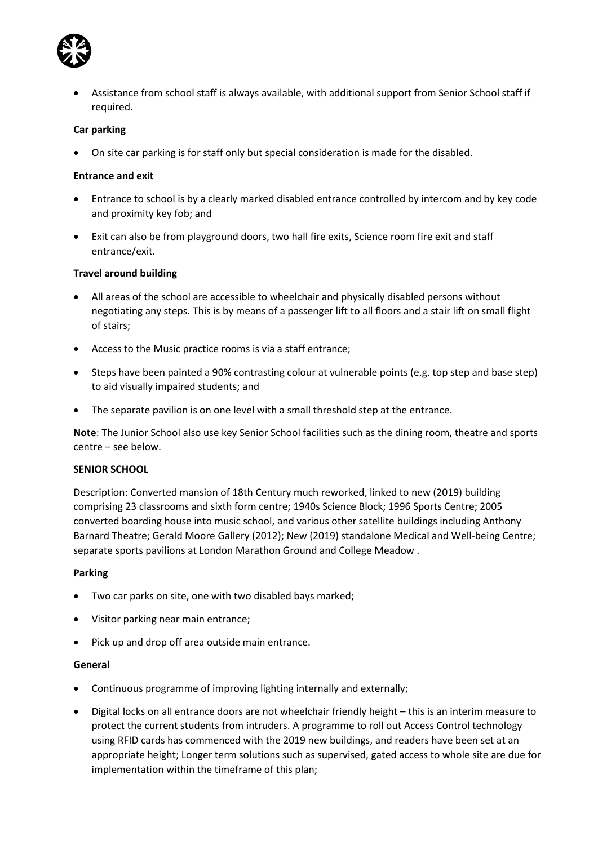

 Assistance from school staff is always available, with additional support from Senior School staff if required.

#### **Car parking**

On site car parking is for staff only but special consideration is made for the disabled.

#### **Entrance and exit**

- Entrance to school is by a clearly marked disabled entrance controlled by intercom and by key code and proximity key fob; and
- Exit can also be from playground doors, two hall fire exits, Science room fire exit and staff entrance/exit.

#### **Travel around building**

- All areas of the school are accessible to wheelchair and physically disabled persons without negotiating any steps. This is by means of a passenger lift to all floors and a stair lift on small flight of stairs;
- Access to the Music practice rooms is via a staff entrance;
- Steps have been painted a 90% contrasting colour at vulnerable points (e.g. top step and base step) to aid visually impaired students; and
- The separate pavilion is on one level with a small threshold step at the entrance.

**Note**: The Junior School also use key Senior School facilities such as the dining room, theatre and sports centre – see below.

#### **SENIOR SCHOOL**

Description: Converted mansion of 18th Century much reworked, linked to new (2019) building comprising 23 classrooms and sixth form centre; 1940s Science Block; 1996 Sports Centre; 2005 converted boarding house into music school, and various other satellite buildings including Anthony Barnard Theatre; Gerald Moore Gallery (2012); New (2019) standalone Medical and Well-being Centre; separate sports pavilions at London Marathon Ground and College Meadow .

#### **Parking**

- Two car parks on site, one with two disabled bays marked;
- Visitor parking near main entrance;
- Pick up and drop off area outside main entrance.

#### **General**

- Continuous programme of improving lighting internally and externally;
- Digital locks on all entrance doors are not wheelchair friendly height this is an interim measure to protect the current students from intruders. A programme to roll out Access Control technology using RFID cards has commenced with the 2019 new buildings, and readers have been set at an appropriate height; Longer term solutions such as supervised, gated access to whole site are due for implementation within the timeframe of this plan;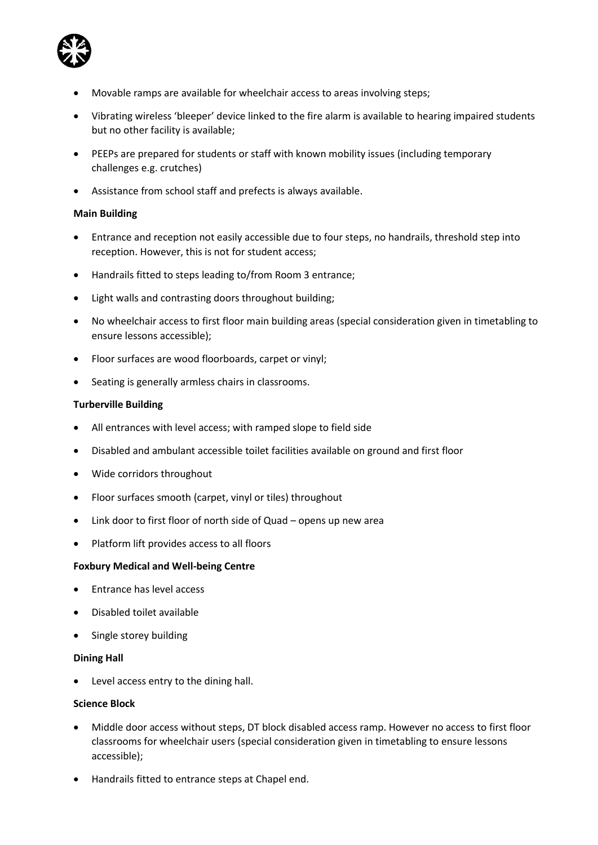

- Movable ramps are available for wheelchair access to areas involving steps;
- Vibrating wireless 'bleeper' device linked to the fire alarm is available to hearing impaired students but no other facility is available;
- PEEPs are prepared for students or staff with known mobility issues (including temporary challenges e.g. crutches)
- Assistance from school staff and prefects is always available.

#### **Main Building**

- Entrance and reception not easily accessible due to four steps, no handrails, threshold step into reception. However, this is not for student access;
- Handrails fitted to steps leading to/from Room 3 entrance;
- Light walls and contrasting doors throughout building;
- No wheelchair access to first floor main building areas (special consideration given in timetabling to ensure lessons accessible);
- Floor surfaces are wood floorboards, carpet or vinyl;
- Seating is generally armless chairs in classrooms.

#### **Turberville Building**

- All entrances with level access; with ramped slope to field side
- Disabled and ambulant accessible toilet facilities available on ground and first floor
- Wide corridors throughout
- Floor surfaces smooth (carpet, vinyl or tiles) throughout
- Link door to first floor of north side of Quad opens up new area
- Platform lift provides access to all floors

#### **Foxbury Medical and Well-being Centre**

- Entrance has level access
- Disabled toilet available
- Single storey building

#### **Dining Hall**

Level access entry to the dining hall.

#### **Science Block**

- Middle door access without steps, DT block disabled access ramp. However no access to first floor classrooms for wheelchair users (special consideration given in timetabling to ensure lessons accessible);
- Handrails fitted to entrance steps at Chapel end.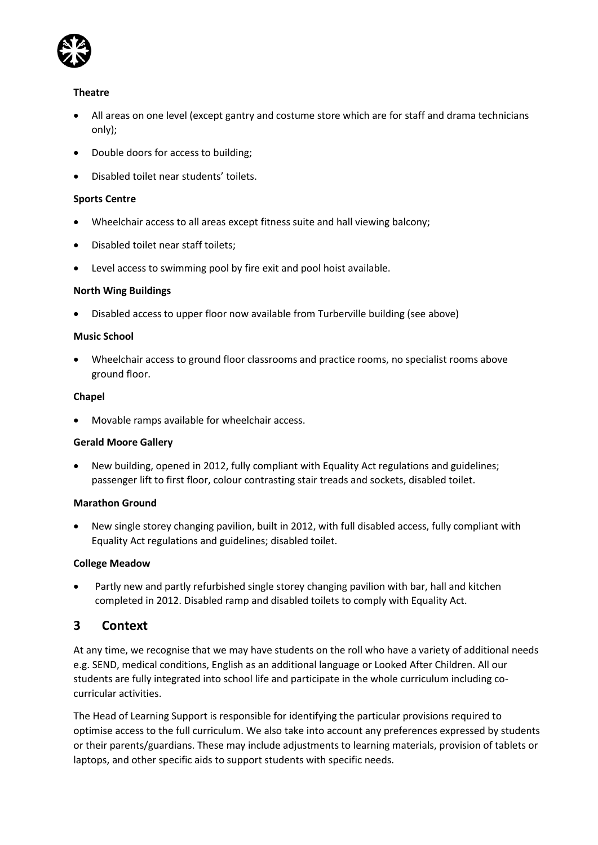

#### **Theatre**

- All areas on one level (except gantry and costume store which are for staff and drama technicians only);
- Double doors for access to building;
- Disabled toilet near students' toilets.

#### **Sports Centre**

- Wheelchair access to all areas except fitness suite and hall viewing balcony;
- Disabled toilet near staff toilets;
- Level access to swimming pool by fire exit and pool hoist available.

#### **North Wing Buildings**

Disabled access to upper floor now available from Turberville building (see above)

#### **Music School**

 Wheelchair access to ground floor classrooms and practice rooms, no specialist rooms above ground floor.

#### **Chapel**

Movable ramps available for wheelchair access.

#### **Gerald Moore Gallery**

 New building, opened in 2012, fully compliant with Equality Act regulations and guidelines; passenger lift to first floor, colour contrasting stair treads and sockets, disabled toilet.

#### **Marathon Ground**

 New single storey changing pavilion, built in 2012, with full disabled access, fully compliant with Equality Act regulations and guidelines; disabled toilet.

#### **College Meadow**

 Partly new and partly refurbished single storey changing pavilion with bar, hall and kitchen completed in 2012. Disabled ramp and disabled toilets to comply with Equality Act.

### **3 Context**

At any time, we recognise that we may have students on the roll who have a variety of additional needs e.g. SEND, medical conditions, English as an additional language or Looked After Children. All our students are fully integrated into school life and participate in the whole curriculum including cocurricular activities.

The Head of Learning Support is responsible for identifying the particular provisions required to optimise access to the full curriculum. We also take into account any preferences expressed by students or their parents/guardians. These may include adjustments to learning materials, provision of tablets or laptops, and other specific aids to support students with specific needs.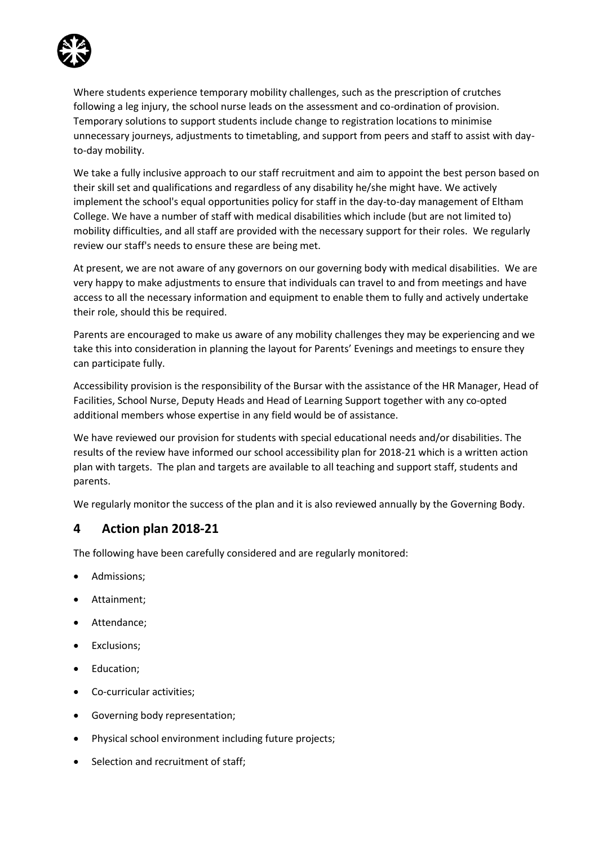

Where students experience temporary mobility challenges, such as the prescription of crutches following a leg injury, the school nurse leads on the assessment and co-ordination of provision. Temporary solutions to support students include change to registration locations to minimise unnecessary journeys, adjustments to timetabling, and support from peers and staff to assist with dayto-day mobility.

We take a fully inclusive approach to our staff recruitment and aim to appoint the best person based on their skill set and qualifications and regardless of any disability he/she might have. We actively implement the school's equal opportunities policy for staff in the day-to-day management of Eltham College. We have a number of staff with medical disabilities which include (but are not limited to) mobility difficulties, and all staff are provided with the necessary support for their roles. We regularly review our staff's needs to ensure these are being met.

At present, we are not aware of any governors on our governing body with medical disabilities. We are very happy to make adjustments to ensure that individuals can travel to and from meetings and have access to all the necessary information and equipment to enable them to fully and actively undertake their role, should this be required.

Parents are encouraged to make us aware of any mobility challenges they may be experiencing and we take this into consideration in planning the layout for Parents' Evenings and meetings to ensure they can participate fully.

Accessibility provision is the responsibility of the Bursar with the assistance of the HR Manager, Head of Facilities, School Nurse, Deputy Heads and Head of Learning Support together with any co-opted additional members whose expertise in any field would be of assistance.

We have reviewed our provision for students with special educational needs and/or disabilities. The results of the review have informed our school accessibility plan for 2018-21 which is a written action plan with targets. The plan and targets are available to all teaching and support staff, students and parents.

We regularly monitor the success of the plan and it is also reviewed annually by the Governing Body.

### **4 Action plan 2018-21**

The following have been carefully considered and are regularly monitored:

- Admissions;
- Attainment;
- Attendance;
- Exclusions;
- Education;
- Co-curricular activities;
- Governing body representation;
- Physical school environment including future projects;
- Selection and recruitment of staff;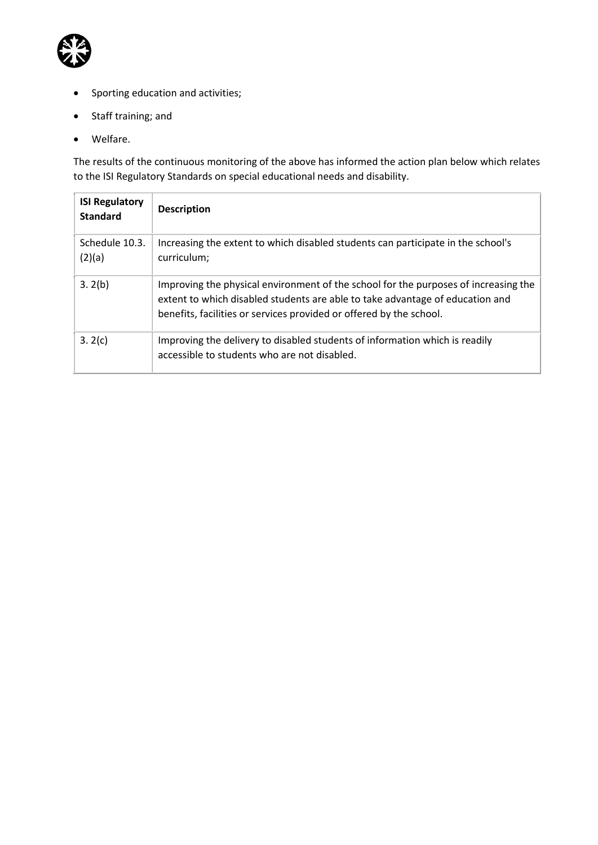

- Sporting education and activities;
- Staff training; and
- Welfare.

The results of the continuous monitoring of the above has informed the action plan below which relates to the ISI Regulatory Standards on special educational needs and disability.

| <b>ISI Regulatory</b><br><b>Standard</b> | <b>Description</b>                                                                                                                                                                                                                          |
|------------------------------------------|---------------------------------------------------------------------------------------------------------------------------------------------------------------------------------------------------------------------------------------------|
| Schedule 10.3.<br>(2)(a)                 | Increasing the extent to which disabled students can participate in the school's<br>curriculum;                                                                                                                                             |
| 3.2(b)                                   | Improving the physical environment of the school for the purposes of increasing the<br>extent to which disabled students are able to take advantage of education and<br>benefits, facilities or services provided or offered by the school. |
| 3.2(c)                                   | Improving the delivery to disabled students of information which is readily<br>accessible to students who are not disabled.                                                                                                                 |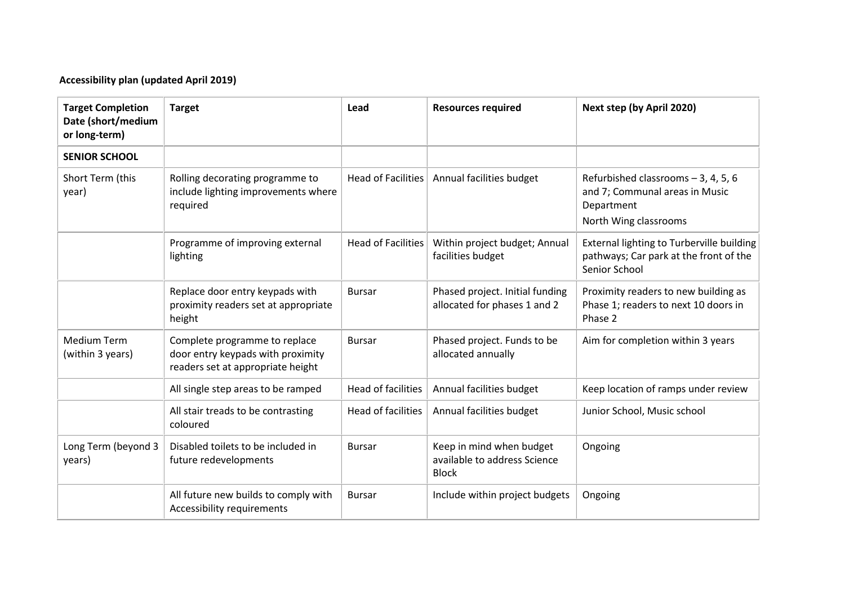# **Accessibility plan (updated April 2019)**

| <b>Target Completion</b><br>Date (short/medium<br>or long-term) | <b>Target</b>                                                                                           | Lead                      | <b>Resources required</b>                                                | Next step (by April 2020)                                                                                      |
|-----------------------------------------------------------------|---------------------------------------------------------------------------------------------------------|---------------------------|--------------------------------------------------------------------------|----------------------------------------------------------------------------------------------------------------|
| <b>SENIOR SCHOOL</b>                                            |                                                                                                         |                           |                                                                          |                                                                                                                |
| Short Term (this<br>year)                                       | Rolling decorating programme to<br>include lighting improvements where<br>required                      | Head of Facilities        | Annual facilities budget                                                 | Refurbished classrooms $-3$ , 4, 5, 6<br>and 7; Communal areas in Music<br>Department<br>North Wing classrooms |
|                                                                 | Programme of improving external<br>lighting                                                             | <b>Head of Facilities</b> | Within project budget; Annual<br>facilities budget                       | External lighting to Turberville building<br>pathways; Car park at the front of the<br>Senior School           |
|                                                                 | Replace door entry keypads with<br>proximity readers set at appropriate<br>height                       | <b>Bursar</b>             | Phased project. Initial funding<br>allocated for phases 1 and 2          | Proximity readers to new building as<br>Phase 1; readers to next 10 doors in<br>Phase 2                        |
| <b>Medium Term</b><br>(within 3 years)                          | Complete programme to replace<br>door entry keypads with proximity<br>readers set at appropriate height | <b>Bursar</b>             | Phased project. Funds to be<br>allocated annually                        | Aim for completion within 3 years                                                                              |
|                                                                 | All single step areas to be ramped                                                                      | Head of facilities        | Annual facilities budget                                                 | Keep location of ramps under review                                                                            |
|                                                                 | All stair treads to be contrasting<br>coloured                                                          | Head of facilities        | Annual facilities budget                                                 | Junior School, Music school                                                                                    |
| Long Term (beyond 3<br>years)                                   | Disabled toilets to be included in<br>future redevelopments                                             | <b>Bursar</b>             | Keep in mind when budget<br>available to address Science<br><b>Block</b> | Ongoing                                                                                                        |
|                                                                 | All future new builds to comply with<br>Accessibility requirements                                      | <b>Bursar</b>             | Include within project budgets                                           | Ongoing                                                                                                        |